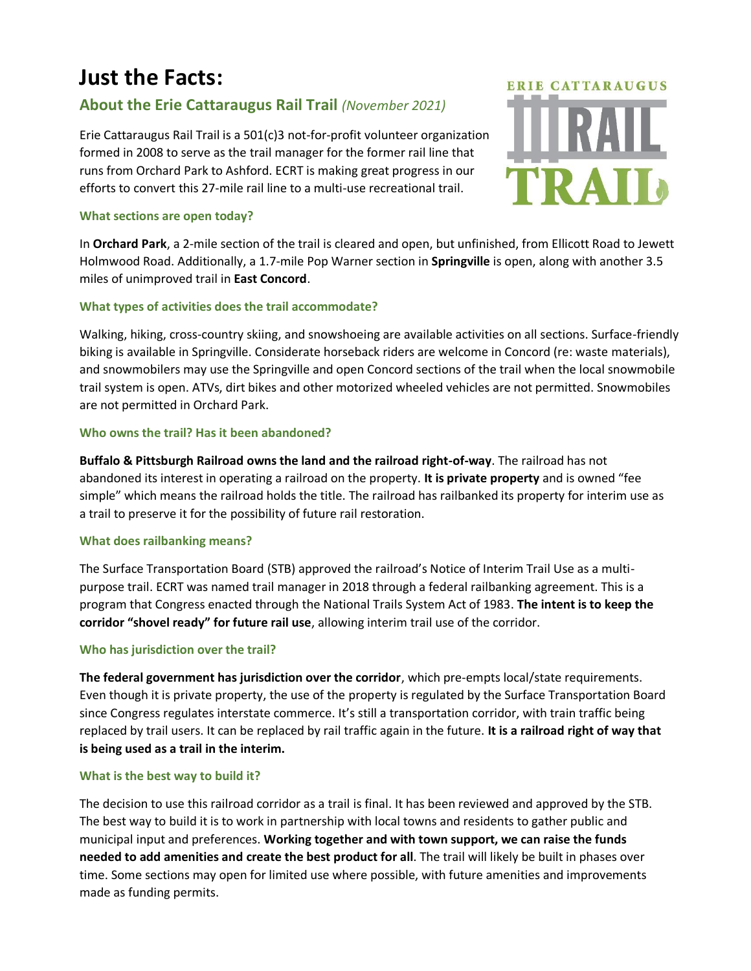# **Just the Facts:**

# **About the Erie Cattaraugus Rail Trail** *(November 2021)*

Erie Cattaraugus Rail Trail is a 501(c)3 not-for-profit volunteer organization formed in 2008 to serve as the trail manager for the former rail line that runs from Orchard Park to Ashford. ECRT is making great progress in our efforts to convert this 27-mile rail line to a multi-use recreational trail.

#### **What sections are open today?**

**ERIE CATTARAUGUS** 

In **Orchard Park**, a 2-mile section of the trail is cleared and open, but unfinished, from Ellicott Road to Jewett Holmwood Road. Additionally, a 1.7-mile Pop Warner section in **Springville** is open, along with another 3.5 miles of unimproved trail in **East Concord**.

# **What types of activities does the trail accommodate?**

Walking, hiking, cross-country skiing, and snowshoeing are available activities on all sections. Surface-friendly biking is available in Springville. Considerate horseback riders are welcome in Concord (re: waste materials), and snowmobilers may use the Springville and open Concord sections of the trail when the local snowmobile trail system is open. ATVs, dirt bikes and other motorized wheeled vehicles are not permitted. Snowmobiles are not permitted in Orchard Park.

# **Who owns the trail? Has it been abandoned?**

**Buffalo & Pittsburgh Railroad owns the land and the railroad right-of-way**. The railroad has not abandoned its interest in operating a railroad on the property. **It is private property** and is owned "fee simple" which means the railroad holds the title. The railroad has railbanked its property for interim use as a trail to preserve it for the possibility of future rail restoration.

# **What does railbanking means?**

The Surface Transportation Board (STB) approved the railroad's Notice of Interim Trail Use as a multipurpose trail. ECRT was named trail manager in 2018 through a federal railbanking agreement. This is a program that Congress enacted through the National Trails System Act of 1983. **The intent is to keep the corridor "shovel ready" for future rail use**, allowing interim trail use of the corridor.

# **Who has jurisdiction over the trail?**

**The federal government has jurisdiction over the corridor**, which pre-empts local/state requirements. Even though it is private property, the use of the property is regulated by the Surface Transportation Board since Congress regulates interstate commerce. It's still a transportation corridor, with train traffic being replaced by trail users. It can be replaced by rail traffic again in the future. **It is a railroad right of way that is being used as a trail in the interim.** 

# **What is the best way to build it?**

The decision to use this railroad corridor as a trail is final. It has been reviewed and approved by the STB. The best way to build it is to work in partnership with local towns and residents to gather public and municipal input and preferences. **Working together and with town support, we can raise the funds needed to add amenities and create the best product for all**. The trail will likely be built in phases over time. Some sections may open for limited use where possible, with future amenities and improvements made as funding permits.